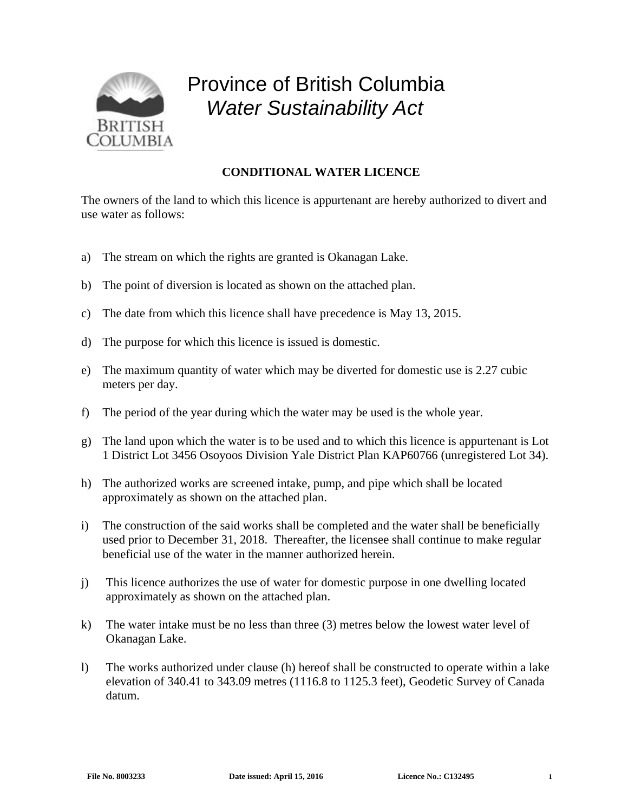

## Province of British Columbia *Water Sustainability Act*

## **CONDITIONAL WATER LICENCE**

The owners of the land to which this licence is appurtenant are hereby authorized to divert and use water as follows:

- a) The stream on which the rights are granted is Okanagan Lake.
- b) The point of diversion is located as shown on the attached plan.
- c) The date from which this licence shall have precedence is May 13, 2015.
- d) The purpose for which this licence is issued is domestic.
- e) The maximum quantity of water which may be diverted for domestic use is 2.27 cubic meters per day.
- f) The period of the year during which the water may be used is the whole year.
- g) The land upon which the water is to be used and to which this licence is appurtenant is Lot 1 District Lot 3456 Osoyoos Division Yale District Plan KAP60766 (unregistered Lot 34).
- h) The authorized works are screened intake, pump, and pipe which shall be located approximately as shown on the attached plan.
- i) The construction of the said works shall be completed and the water shall be beneficially used prior to December 31, 2018. Thereafter, the licensee shall continue to make regular beneficial use of the water in the manner authorized herein.
- j) This licence authorizes the use of water for domestic purpose in one dwelling located approximately as shown on the attached plan.
- k) The water intake must be no less than three (3) metres below the lowest water level of Okanagan Lake.
- l) The works authorized under clause (h) hereof shall be constructed to operate within a lake elevation of 340.41 to 343.09 metres (1116.8 to 1125.3 feet), Geodetic Survey of Canada datum.